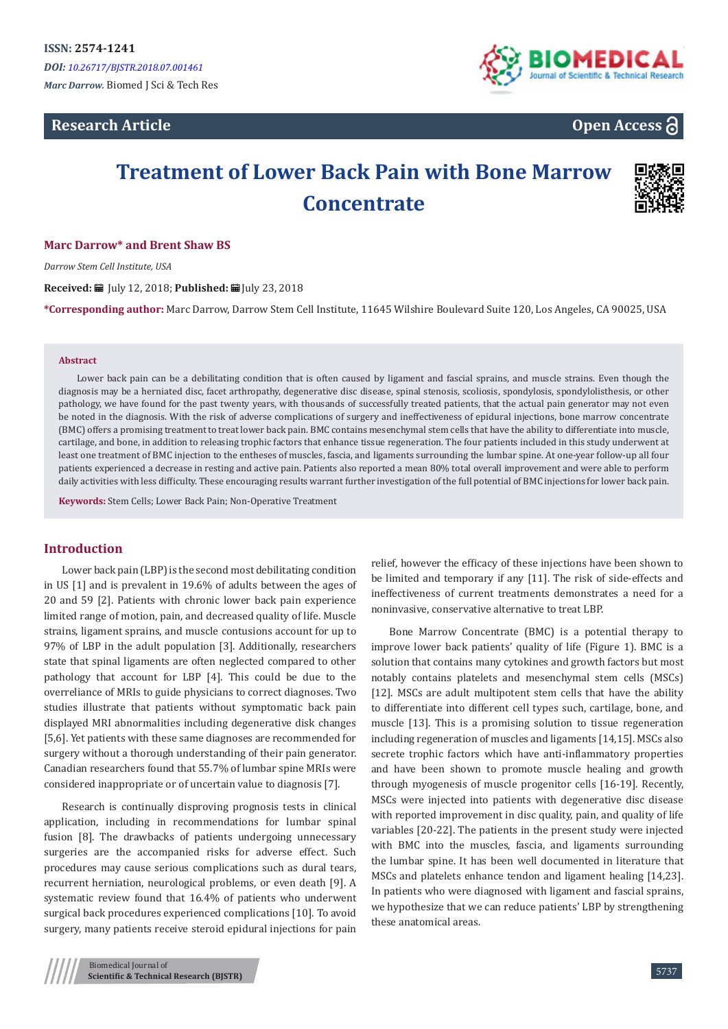# **Research Article**



# **Open Access**

# **Treatment of Lower Back Pain with Bone Marrow Concentrate**



#### **Marc Darrow\* and Brent Shaw BS**

*Darrow Stem Cell Institute, USA*

**Received:** July 12, 2018; **Published:** July 23, 2018

**\*Corresponding author:** Marc Darrow, Darrow Stem Cell Institute, 11645 Wilshire Boulevard Suite 120, Los Angeles, CA 90025, USA

#### **Abstract**

Lower back pain can be a debilitating condition that is often caused by ligament and fascial sprains, and muscle strains. Even though the diagnosis may be a herniated disc, facet arthropathy, degenerative disc disease, spinal stenosis, scoliosis, spondylosis, spondylolisthesis, or other pathology, we have found for the past twenty years, with thousands of successfully treated patients, that the actual pain generator may not even be noted in the diagnosis. With the risk of adverse complications of surgery and ineffectiveness of epidural injections, bone marrow concentrate (BMC) offers a promising treatment to treat lower back pain. BMC contains mesenchymal stem cells that have the ability to differentiate into muscle, cartilage, and bone, in addition to releasing trophic factors that enhance tissue regeneration. The four patients included in this study underwent at least one treatment of BMC injection to the entheses of muscles, fascia, and ligaments surrounding the lumbar spine. At one-year follow-up all four patients experienced a decrease in resting and active pain. Patients also reported a mean 80% total overall improvement and were able to perform daily activities with less difficulty. These encouraging results warrant further investigation of the full potential of BMC injections for lower back pain.

**Keywords:** Stem Cells; Lower Back Pain; Non-Operative Treatment

# **Introduction**

Lower back pain (LBP) is the second most debilitating condition in US [1] and is prevalent in 19.6% of adults between the ages of 20 and 59 [2]. Patients with chronic lower back pain experience limited range of motion, pain, and decreased quality of life. Muscle strains, ligament sprains, and muscle contusions account for up to 97% of LBP in the adult population [3]. Additionally, researchers state that spinal ligaments are often neglected compared to other pathology that account for LBP [4]. This could be due to the overreliance of MRIs to guide physicians to correct diagnoses. Two studies illustrate that patients without symptomatic back pain displayed MRI abnormalities including degenerative disk changes [5,6]. Yet patients with these same diagnoses are recommended for surgery without a thorough understanding of their pain generator. Canadian researchers found that 55.7% of lumbar spine MRIs were considered inappropriate or of uncertain value to diagnosis [7].

Research is continually disproving prognosis tests in clinical application, including in recommendations for lumbar spinal fusion [8]. The drawbacks of patients undergoing unnecessary surgeries are the accompanied risks for adverse effect. Such procedures may cause serious complications such as dural tears, recurrent herniation, neurological problems, or even death [9]. A systematic review found that 16.4% of patients who underwent surgical back procedures experienced complications [10]. To avoid surgery, many patients receive steroid epidural injections for pain

relief, however the efficacy of these injections have been shown to be limited and temporary if any [11]. The risk of side-effects and ineffectiveness of current treatments demonstrates a need for a noninvasive, conservative alternative to treat LBP.

Bone Marrow Concentrate (BMC) is a potential therapy to improve lower back patients' quality of life (Figure 1). BMC is a solution that contains many cytokines and growth factors but most notably contains platelets and mesenchymal stem cells (MSCs) [12]. MSCs are adult multipotent stem cells that have the ability to differentiate into different cell types such, cartilage, bone, and muscle [13]. This is a promising solution to tissue regeneration including regeneration of muscles and ligaments [14,15]. MSCs also secrete trophic factors which have anti-inflammatory properties and have been shown to promote muscle healing and growth through myogenesis of muscle progenitor cells [16-19]. Recently, MSCs were injected into patients with degenerative disc disease with reported improvement in disc quality, pain, and quality of life variables [20-22]. The patients in the present study were injected with BMC into the muscles, fascia, and ligaments surrounding the lumbar spine. It has been well documented in literature that MSCs and platelets enhance tendon and ligament healing [14,23]. In patients who were diagnosed with ligament and fascial sprains, we hypothesize that we can reduce patients' LBP by strengthening these anatomical areas.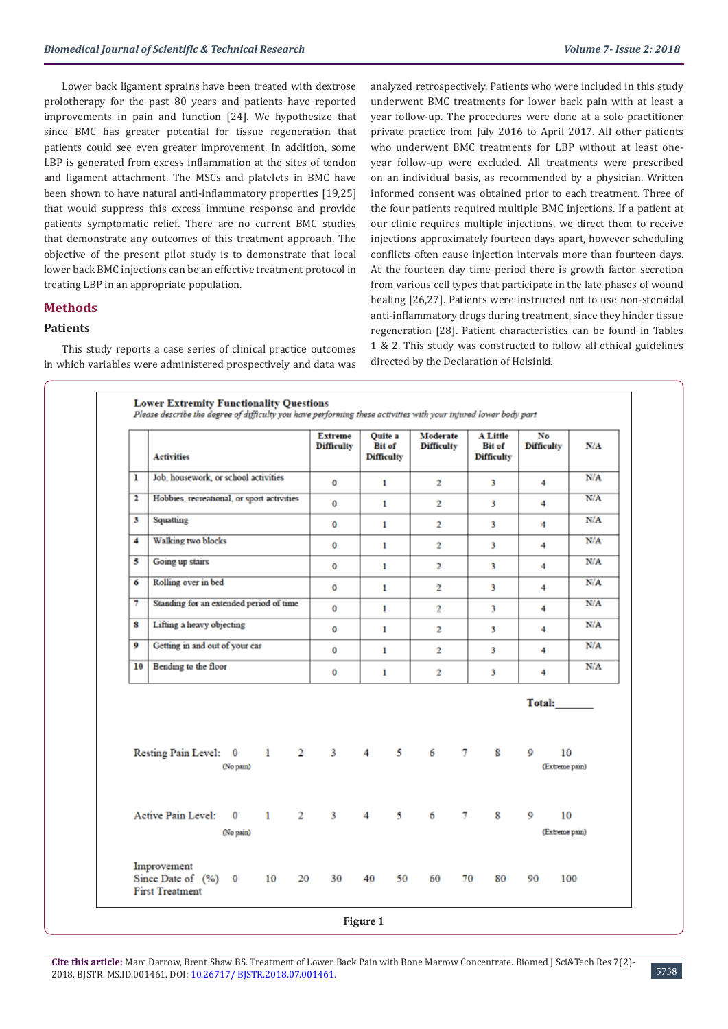Lower back ligament sprains have been treated with dextrose prolotherapy for the past 80 years and patients have reported improvements in pain and function [24]. We hypothesize that since BMC has greater potential for tissue regeneration that patients could see even greater improvement. In addition, some LBP is generated from excess inflammation at the sites of tendon and ligament attachment. The MSCs and platelets in BMC have been shown to have natural anti-inflammatory properties [19,25] that would suppress this excess immune response and provide patients symptomatic relief. There are no current BMC studies that demonstrate any outcomes of this treatment approach. The objective of the present pilot study is to demonstrate that local lower back BMC injections can be an effective treatment protocol in treating LBP in an appropriate population.

# **Methods**

#### **Patients**

This study reports a case series of clinical practice outcomes in which variables were administered prospectively and data was analyzed retrospectively. Patients who were included in this study underwent BMC treatments for lower back pain with at least a year follow-up. The procedures were done at a solo practitioner private practice from July 2016 to April 2017. All other patients who underwent BMC treatments for LBP without at least oneyear follow-up were excluded. All treatments were prescribed on an individual basis, as recommended by a physician. Written informed consent was obtained prior to each treatment. Three of the four patients required multiple BMC injections. If a patient at our clinic requires multiple injections, we direct them to receive injections approximately fourteen days apart, however scheduling conflicts often cause injection intervals more than fourteen days. At the fourteen day time period there is growth factor secretion from various cell types that participate in the late phases of wound healing [26,27]. Patients were instructed not to use non-steroidal anti-inflammatory drugs during treatment, since they hinder tissue regeneration [28]. Patient characteristics can be found in Tables 1 & 2. This study was constructed to follow all ethical guidelines directed by the Declaration of Helsinki.

|    | <b>Activities</b>                          |                       |              |              | <b>Extreme</b><br><b>Difficulty</b> | Quite a<br><b>Bit of</b><br><b>Difficulty</b> |    | Moderate<br><b>Difficulty</b> |        | <b>A Little</b><br><b>Bit of</b><br><b>Difficulty</b> | No<br><b>Difficulty</b> | N/A |
|----|--------------------------------------------|-----------------------|--------------|--------------|-------------------------------------|-----------------------------------------------|----|-------------------------------|--------|-------------------------------------------------------|-------------------------|-----|
| ı  | Job, housework, or school activities       |                       |              |              | 0                                   | 1                                             |    | $\overline{2}$                |        | 3                                                     | 4                       | N/A |
| 2  | Hobbies, recreational, or sport activities |                       |              |              | 0                                   | $\mathbf{1}$                                  |    | $\overline{2}$                |        | 3                                                     | 4                       | N/A |
| 3  | Squatting                                  |                       |              |              | 0                                   | 1                                             |    | 2                             |        | 3                                                     | 4                       | N/A |
| 4  | <b>Walking two blocks</b>                  |                       |              |              | 0                                   | 1                                             |    | $\overline{2}$                |        | $\overline{\mathbf{3}}$                               | 4                       | N/A |
| 5  | Going up stairs                            |                       |              |              | 0                                   | 1                                             |    | 2                             |        | 3                                                     | 4                       | N/A |
| 6  | Rolling over in bed                        |                       |              |              | 0                                   | $\mathbf{1}$                                  |    | $\overline{2}$                |        | 3                                                     | 4                       | N/A |
| 7  | Standing for an extended period of time    |                       |              |              | 0                                   | $\mathbf{1}$                                  |    | $\overline{2}$                |        | 3                                                     | 4                       | N/A |
| 8  | Lifting a heavy objecting                  |                       |              |              | 0                                   | 1                                             |    | $\overline{2}$                |        | 3                                                     | 4                       | N/A |
| 9  | Getting in and out of your car             |                       |              |              | 0                                   | $\mathbf{1}$                                  |    | $\overline{2}$                |        | 3                                                     | 4                       | N/A |
| 10 | Bending to the floor                       |                       |              |              | 0                                   | 1                                             |    | $\overline{2}$                |        | 3                                                     | 4                       | N/A |
|    |                                            |                       |              |              |                                     |                                               |    |                               |        |                                                       | Total:                  |     |
|    | Resting Pain Level: 0                      | (No pain)             | $\mathbf{1}$ | $\mathbf{2}$ |                                     | $3 \t 4 \t 5$                                 |    | 6                             | $\tau$ | 8                                                     | 9<br>(Extreme pain)     | 10  |
|    | Active Pain Level:                         | $\bf{0}$<br>(No pain) | $\mathbf{1}$ | $\mathbf{2}$ | $\mathbf{3}$                        | $\overline{4}$                                | 5  | 6                             | $\tau$ | 8                                                     | 9<br>(Extreme pain)     | 10  |
|    | Improvement<br>Since Date of $(\%)$ 0      |                       | 10           |              | 20<br>30                            | 40                                            | 50 | 60                            | 70     | 80                                                    | 90                      | 100 |

**Cite this article:** Marc Darrow, Brent Shaw BS. Treatment of Lower Back Pain with Bone Marrow Concentrate. Biomed J Sci&Tech Res 7(2)- 2018. BJSTR. MS.ID.001461. DOI: [10.26717/ BJSTR.2018.07.001461](http://dx.doi.org/10.26717/BJSTR.2018.07.001461). 5738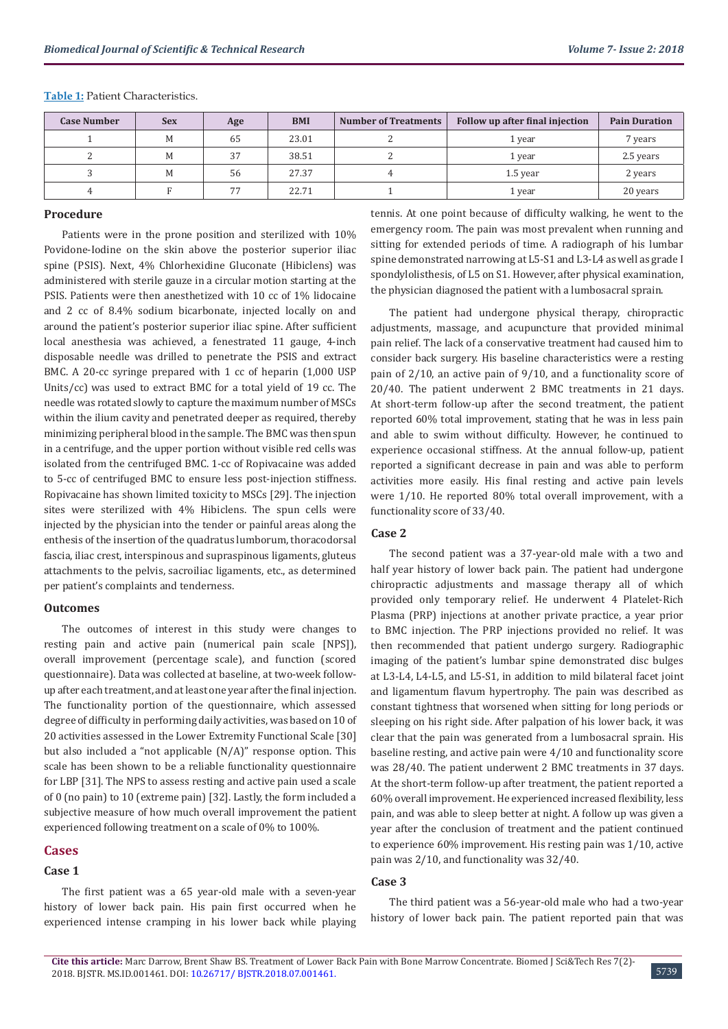| <b>Case Number</b> | <b>Sex</b> | Age | <b>BMI</b> | <b>Number of Treatments</b> | Follow up after final injection | <b>Pain Duration</b> |
|--------------------|------------|-----|------------|-----------------------------|---------------------------------|----------------------|
|                    | M          | 65  | 23.01      |                             | 1 year                          | 7 years              |
|                    | M          | 37  | 38.51      |                             | 1 vear                          | 2.5 years            |
|                    | M          | 56  | 27.37      |                             | 1.5 year                        | 2 years              |
|                    |            | 77  | 22.71      |                             | 1 year                          | 20 years             |

**Table 1:** Patient Characteristics.

#### **Procedure**

Patients were in the prone position and sterilized with 10% Povidone-Iodine on the skin above the posterior superior iliac spine (PSIS). Next, 4% Chlorhexidine Gluconate (Hibiclens) was administered with sterile gauze in a circular motion starting at the PSIS. Patients were then anesthetized with 10 cc of 1% lidocaine and 2 cc of 8.4% sodium bicarbonate, injected locally on and around the patient's posterior superior iliac spine. After sufficient local anesthesia was achieved, a fenestrated 11 gauge, 4-inch disposable needle was drilled to penetrate the PSIS and extract BMC. A 20-cc syringe prepared with 1 cc of heparin (1,000 USP Units/cc) was used to extract BMC for a total yield of 19 cc. The needle was rotated slowly to capture the maximum number of MSCs within the ilium cavity and penetrated deeper as required, thereby minimizing peripheral blood in the sample. The BMC was then spun in a centrifuge, and the upper portion without visible red cells was isolated from the centrifuged BMC. 1-cc of Ropivacaine was added to 5-cc of centrifuged BMC to ensure less post-injection stiffness. Ropivacaine has shown limited toxicity to MSCs [29]. The injection sites were sterilized with 4% Hibiclens. The spun cells were injected by the physician into the tender or painful areas along the enthesis of the insertion of the quadratus lumborum, thoracodorsal fascia, iliac crest, interspinous and supraspinous ligaments, gluteus attachments to the pelvis, sacroiliac ligaments, etc., as determined per patient's complaints and tenderness.

#### **Outcomes**

The outcomes of interest in this study were changes to resting pain and active pain (numerical pain scale [NPS]), overall improvement (percentage scale), and function (scored questionnaire). Data was collected at baseline, at two-week followup after each treatment, and at least one year after the final injection. The functionality portion of the questionnaire, which assessed degree of difficulty in performing daily activities, was based on 10 of 20 activities assessed in the Lower Extremity Functional Scale [30] but also included a "not applicable (N/A)" response option. This scale has been shown to be a reliable functionality questionnaire for LBP [31]. The NPS to assess resting and active pain used a scale of 0 (no pain) to 10 (extreme pain) [32]. Lastly, the form included a subjective measure of how much overall improvement the patient experienced following treatment on a scale of 0% to 100%.

#### **Cases**

#### **Case 1**

The first patient was a 65 year-old male with a seven-year history of lower back pain. His pain first occurred when he experienced intense cramping in his lower back while playing tennis. At one point because of difficulty walking, he went to the emergency room. The pain was most prevalent when running and sitting for extended periods of time. A radiograph of his lumbar spine demonstrated narrowing at L5-S1 and L3-L4 as well as grade I spondylolisthesis, of L5 on S1. However, after physical examination, the physician diagnosed the patient with a lumbosacral sprain.

The patient had undergone physical therapy, chiropractic adjustments, massage, and acupuncture that provided minimal pain relief. The lack of a conservative treatment had caused him to consider back surgery. His baseline characteristics were a resting pain of 2/10, an active pain of 9/10, and a functionality score of 20/40. The patient underwent 2 BMC treatments in 21 days. At short-term follow-up after the second treatment, the patient reported 60% total improvement, stating that he was in less pain and able to swim without difficulty. However, he continued to experience occasional stiffness. At the annual follow-up, patient reported a significant decrease in pain and was able to perform activities more easily. His final resting and active pain levels were 1/10. He reported 80% total overall improvement, with a functionality score of 33/40.

#### **Case 2**

The second patient was a 37-year-old male with a two and half year history of lower back pain. The patient had undergone chiropractic adjustments and massage therapy all of which provided only temporary relief. He underwent 4 Platelet-Rich Plasma (PRP) injections at another private practice, a year prior to BMC injection. The PRP injections provided no relief. It was then recommended that patient undergo surgery. Radiographic imaging of the patient's lumbar spine demonstrated disc bulges at L3-L4, L4-L5, and L5-S1, in addition to mild bilateral facet joint and ligamentum flavum hypertrophy. The pain was described as constant tightness that worsened when sitting for long periods or sleeping on his right side. After palpation of his lower back, it was clear that the pain was generated from a lumbosacral sprain. His baseline resting, and active pain were 4/10 and functionality score was 28/40. The patient underwent 2 BMC treatments in 37 days. At the short-term follow-up after treatment, the patient reported a 60% overall improvement. He experienced increased flexibility, less pain, and was able to sleep better at night. A follow up was given a year after the conclusion of treatment and the patient continued to experience 60% improvement. His resting pain was 1/10, active pain was 2/10, and functionality was 32/40.

#### **Case 3**

The third patient was a 56-year-old male who had a two-year history of lower back pain. The patient reported pain that was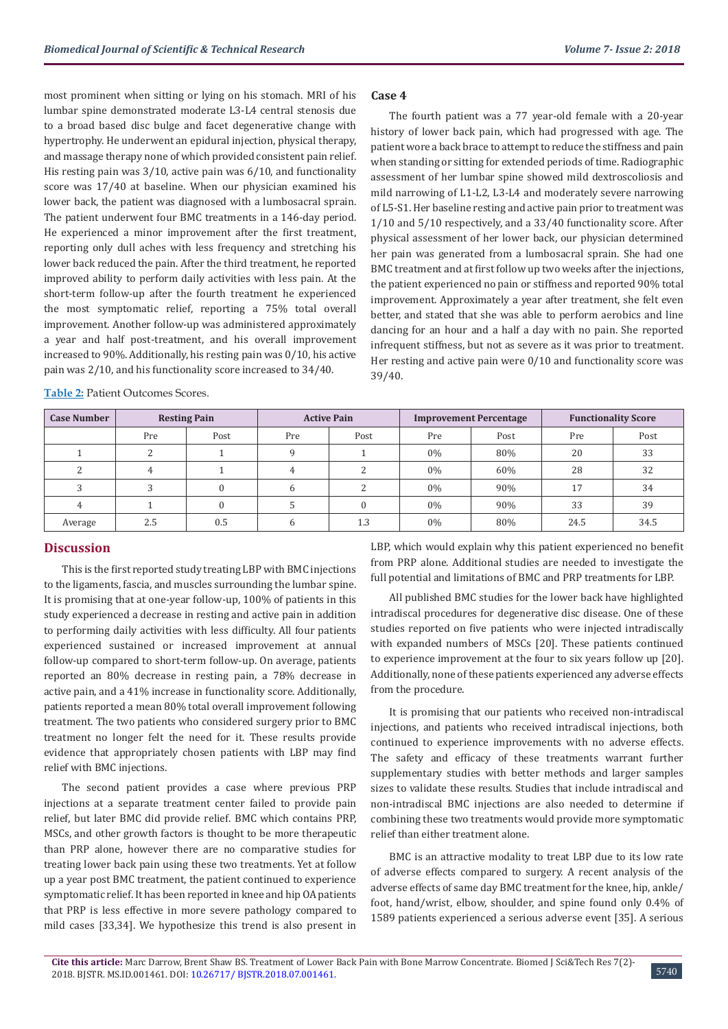most prominent when sitting or lying on his stomach. MRI of his lumbar spine demonstrated moderate L3-L4 central stenosis due to a broad based disc bulge and facet degenerative change with hypertrophy. He underwent an epidural injection, physical therapy, and massage therapy none of which provided consistent pain relief. His resting pain was 3/10, active pain was 6/10, and functionality score was 17/40 at baseline. When our physician examined his lower back, the patient was diagnosed with a lumbosacral sprain. The patient underwent four BMC treatments in a 146-day period. He experienced a minor improvement after the first treatment, reporting only dull aches with less frequency and stretching his lower back reduced the pain. After the third treatment, he reported improved ability to perform daily activities with less pain. At the short-term follow-up after the fourth treatment he experienced the most symptomatic relief, reporting a 75% total overall improvement. Another follow-up was administered approximately a year and half post-treatment, and his overall improvement increased to 90%. Additionally, his resting pain was 0/10, his active pain was 2/10, and his functionality score increased to 34/40.

**Table 2:** Patient Outcomes Scores.

## **Case 4**

The fourth patient was a 77 year-old female with a 20-year history of lower back pain, which had progressed with age. The patient wore a back brace to attempt to reduce the stiffness and pain when standing or sitting for extended periods of time. Radiographic assessment of her lumbar spine showed mild dextroscoliosis and mild narrowing of L1-L2, L3-L4 and moderately severe narrowing of L5-S1. Her baseline resting and active pain prior to treatment was 1/10 and 5/10 respectively, and a 33/40 functionality score. After physical assessment of her lower back, our physician determined her pain was generated from a lumbosacral sprain. She had one BMC treatment and at first follow up two weeks after the injections, the patient experienced no pain or stiffness and reported 90% total improvement. Approximately a year after treatment, she felt even better, and stated that she was able to perform aerobics and line dancing for an hour and a half a day with no pain. She reported infrequent stiffness, but not as severe as it was prior to treatment. Her resting and active pain were 0/10 and functionality score was 39/40.

| <b>Case Number</b> |     | <b>Resting Pain</b> |     | <b>Active Pain</b> |       | <b>Improvement Percentage</b> | <b>Functionality Score</b> |      |  |
|--------------------|-----|---------------------|-----|--------------------|-------|-------------------------------|----------------------------|------|--|
|                    | Pre | Post                | Pre | Post               | Pre   | Post                          | Pre                        | Post |  |
|                    |     |                     |     |                    | $0\%$ | 80%                           | 20                         | 33   |  |
|                    | 4   |                     |     |                    | $0\%$ | 60%                           | 28                         | 32   |  |
|                    | っ   | $\Omega$            |     |                    | 0%    | 90%                           | 17                         | 34   |  |
|                    |     | $\theta$            |     |                    | $0\%$ | 90%                           | 33                         | 39   |  |
| Average            | 2.5 | 0.5                 |     | 1.3                | $0\%$ | 80%                           | 24.5                       | 34.5 |  |

# **Discussion**

This is the first reported study treating LBP with BMC injections to the ligaments, fascia, and muscles surrounding the lumbar spine. It is promising that at one-year follow-up, 100% of patients in this study experienced a decrease in resting and active pain in addition to performing daily activities with less difficulty. All four patients experienced sustained or increased improvement at annual follow-up compared to short-term follow-up. On average, patients reported an 80% decrease in resting pain, a 78% decrease in active pain, and a 41% increase in functionality score. Additionally, patients reported a mean 80% total overall improvement following treatment. The two patients who considered surgery prior to BMC treatment no longer felt the need for it. These results provide evidence that appropriately chosen patients with LBP may find relief with BMC injections.

The second patient provides a case where previous PRP injections at a separate treatment center failed to provide pain relief, but later BMC did provide relief. BMC which contains PRP, MSCs, and other growth factors is thought to be more therapeutic than PRP alone, however there are no comparative studies for treating lower back pain using these two treatments. Yet at follow up a year post BMC treatment, the patient continued to experience symptomatic relief. It has been reported in knee and hip OA patients that PRP is less effective in more severe pathology compared to mild cases [33,34]. We hypothesize this trend is also present in

LBP, which would explain why this patient experienced no benefit from PRP alone. Additional studies are needed to investigate the full potential and limitations of BMC and PRP treatments for LBP.

All published BMC studies for the lower back have highlighted intradiscal procedures for degenerative disc disease. One of these studies reported on five patients who were injected intradiscally with expanded numbers of MSCs [20]. These patients continued to experience improvement at the four to six years follow up [20]. Additionally, none of these patients experienced any adverse effects from the procedure.

It is promising that our patients who received non-intradiscal injections, and patients who received intradiscal injections, both continued to experience improvements with no adverse effects. The safety and efficacy of these treatments warrant further supplementary studies with better methods and larger samples sizes to validate these results. Studies that include intradiscal and non-intradiscal BMC injections are also needed to determine if combining these two treatments would provide more symptomatic relief than either treatment alone.

BMC is an attractive modality to treat LBP due to its low rate of adverse effects compared to surgery. A recent analysis of the adverse effects of same day BMC treatment for the knee, hip, ankle/ foot, hand/wrist, elbow, shoulder, and spine found only 0.4% of 1589 patients experienced a serious adverse event [35]. A serious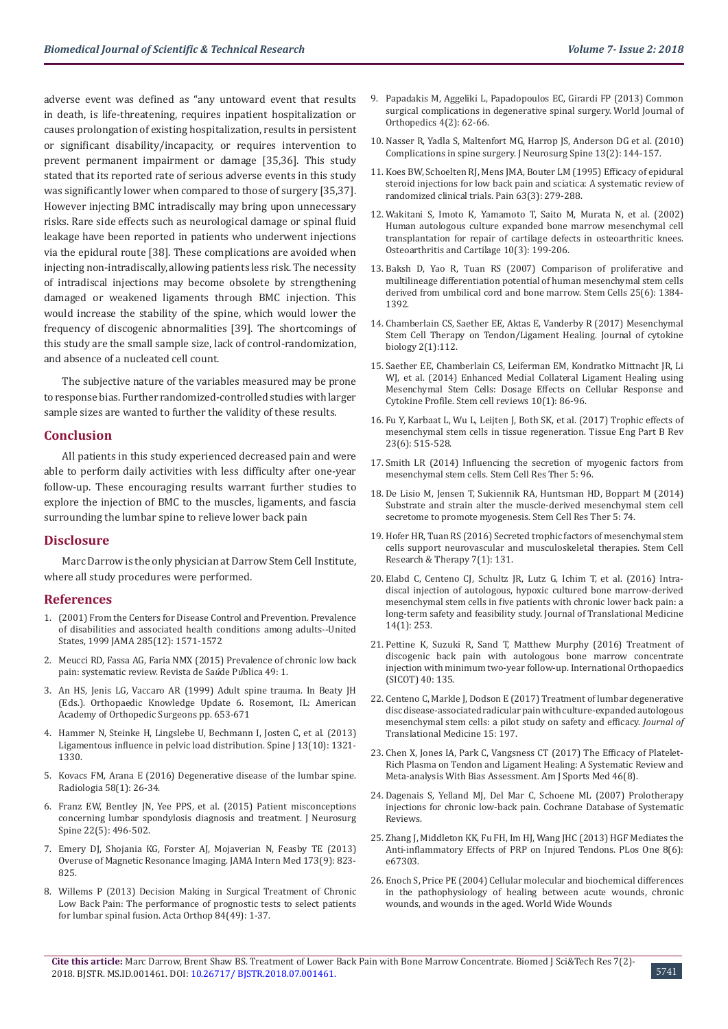adverse event was defined as "any untoward event that results in death, is life-threatening, requires inpatient hospitalization or causes prolongation of existing hospitalization, results in persistent or significant disability/incapacity, or requires intervention to prevent permanent impairment or damage [35,36]. This study stated that its reported rate of serious adverse events in this study was significantly lower when compared to those of surgery [35,37]. However injecting BMC intradiscally may bring upon unnecessary risks. Rare side effects such as neurological damage or spinal fluid leakage have been reported in patients who underwent injections via the epidural route [38]. These complications are avoided when injecting non-intradiscally, allowing patients less risk. The necessity of intradiscal injections may become obsolete by strengthening damaged or weakened ligaments through BMC injection. This would increase the stability of the spine, which would lower the frequency of discogenic abnormalities [39]. The shortcomings of this study are the small sample size, lack of control-randomization, and absence of a nucleated cell count.

The subjective nature of the variables measured may be prone to response bias. Further randomized-controlled studies with larger sample sizes are wanted to further the validity of these results.

### **Conclusion**

All patients in this study experienced decreased pain and were able to perform daily activities with less difficulty after one-year follow-up. These encouraging results warrant further studies to explore the injection of BMC to the muscles, ligaments, and fascia surrounding the lumbar spine to relieve lower back pain

#### **Disclosure**

Marc Darrow is the only physician at Darrow Stem Cell Institute, where all study procedures were performed.

#### **References**

- 1. (2001) From the Centers for Disease Control and Prevention. Prevalence of disabilities and associated health conditions among adults--United States, 1999 JAMA 285(12): 1571-1572
- 2. [Meucci RD, Fassa AG, Faria NMX \(2015\) Prevalence of chronic low back](https://www.ncbi.nlm.nih.gov/pubmed/26487293)  [pain: systematic review.](https://www.ncbi.nlm.nih.gov/pubmed/26487293) Revista de Sa*ú*de P*ú*blica 49: 1.
- 3. An HS, Jenis LG, Vaccaro AR (1999) Adult spine trauma. In Beaty JH (Eds.). Orthopaedic Knowledge Update 6. Rosemont, IL: American Academy of Orthopedic Surgeons pp. 653-671
- 4. [Hammer N, Steinke H, Lingslebe U, Bechmann I, Josten C, et al. \(2013\)](https://www.ncbi.nlm.nih.gov/pubmed/23755919)  [Ligamentous influence in pelvic load distribution. Spine J 13\(10\): 1321-](https://www.ncbi.nlm.nih.gov/pubmed/23755919) [1330.](https://www.ncbi.nlm.nih.gov/pubmed/23755919)
- 5. [Kovacs FM, Arana E \(2016\) Degenerative disease of the lumbar spine.](https://www.ncbi.nlm.nih.gov/pubmed/26872873)  [Radiologia 58\(1\): 26-34.](https://www.ncbi.nlm.nih.gov/pubmed/26872873)
- 6. [Franz EW, Bentley JN, Yee PPS, et al. \(2015\) Patient misconceptions](https://www.ncbi.nlm.nih.gov/pubmed/25723120)  [concerning lumbar spondylosis diagnosis and treatment. J Neurosurg](https://www.ncbi.nlm.nih.gov/pubmed/25723120)  [Spine 22\(5\): 496-502.](https://www.ncbi.nlm.nih.gov/pubmed/25723120)
- 7. [Emery DJ, Shojania KG, Forster AJ, Mojaverian N, Feasby TE \(2013\)](https://jamanetwork.com/journals/jamainternalmedicine/fullarticle/1672286)  [Overuse of Magnetic Resonance Imaging.](https://jamanetwork.com/journals/jamainternalmedicine/fullarticle/1672286) JAMA Intern Med 173(9): 823- [825.](https://jamanetwork.com/journals/jamainternalmedicine/fullarticle/1672286)
- 8. [Willems P \(2013\) Decision Making in Surgical Treatment of Chronic](https://www.tandfonline.com/doi/full/10.3109/17453674.2012.753565)  [Low Back Pain: The performance of prognostic tests to select patients](https://www.tandfonline.com/doi/full/10.3109/17453674.2012.753565)  [for lumbar spinal fusion. Acta](https://www.tandfonline.com/doi/full/10.3109/17453674.2012.753565) Orthop 84(49): 1-37.
- 9. [Papadakis M, Aggeliki L, Papadopoulos EC, Girardi FP \(2013\) Common](https://www.ncbi.nlm.nih.gov/pmc/articles/PMC3631953/) [surgical complications in degenerative spinal surgery. World](https://www.ncbi.nlm.nih.gov/pmc/articles/PMC3631953/) Journal of [Orthopedics 4\(2\): 62-66.](https://www.ncbi.nlm.nih.gov/pmc/articles/PMC3631953/)
- 10. [Nasser R, Yadla S, Maltenfort MG, Harrop JS, Anderson DG et al. \(2010\)](https://www.ncbi.nlm.nih.gov/pubmed/20672949) [Complications in spine surgery. J Neurosurg Spine 13\(2\): 144-157.](https://www.ncbi.nlm.nih.gov/pubmed/20672949)
- 11. [Koes BW, Schoelten RJ, Mens JMA, Bouter LM \(1995\) Efficacy of epidural](https://www.ncbi.nlm.nih.gov/pubmed/8719528) [steroid injections for low back pain and sciatica: A systematic review of](https://www.ncbi.nlm.nih.gov/pubmed/8719528) [randomized clinical trials. Pain 63\(3\): 279-288.](https://www.ncbi.nlm.nih.gov/pubmed/8719528)
- 12. [Wakitani S, Imoto K, Yamamoto T, Saito M, Murata N, et al. \(2002\)](https://www.ncbi.nlm.nih.gov/pubmed/11869080) [Human autologous culture expanded bone marrow mesenchymal cell](https://www.ncbi.nlm.nih.gov/pubmed/11869080) [transplantation for repair of cartilage defects in osteoarthritic knees.](https://www.ncbi.nlm.nih.gov/pubmed/11869080) [Osteoarthritis and Cartilage 10\(3\): 199-206.](https://www.ncbi.nlm.nih.gov/pubmed/11869080)
- 13. [Baksh D, Yao R, Tuan RS \(2007\) Comparison of proliferative and](https://www.ncbi.nlm.nih.gov/pubmed/17332507) [multilineage differentiation potential of human mesenchymal stem cells](https://www.ncbi.nlm.nih.gov/pubmed/17332507) [derived from umbilical cord and bone marrow. Stem Cells 25\(6\): 1384-](https://www.ncbi.nlm.nih.gov/pubmed/17332507) [1392.](https://www.ncbi.nlm.nih.gov/pubmed/17332507)
- 14. [Chamberlain CS, Saether EE, Aktas E, Vanderby R \(2017\) Mesenchymal](https://www.omicsonline.org/open-access/mesenchymal-stem-cell-therapy-on-tendonligament-healing.php?aid=84464) [Stem Cell Therapy on Tendon/Ligament Healing.](https://www.omicsonline.org/open-access/mesenchymal-stem-cell-therapy-on-tendonligament-healing.php?aid=84464) Journal of cytokine [biology 2\(1\):112.](https://www.omicsonline.org/open-access/mesenchymal-stem-cell-therapy-on-tendonligament-healing.php?aid=84464)
- 15. [Saether EE, Chamberlain CS, Leiferman EM, Kondratko Mittnacht JR, Li](https://europepmc.org/abstract/med/24174129) [WJ, et al. \(2014\) Enhanced Medial Collateral Ligament Healing using](https://europepmc.org/abstract/med/24174129) [Mesenchymal Stem Cells: Dosage Effects on Cellular Response and](https://europepmc.org/abstract/med/24174129) Cytokine Profile. [Stem cell reviews 10\(1\): 86-96.](https://europepmc.org/abstract/med/24174129)
- 16. [Fu Y, Karbaat L, Wu L, Leijten J, Both SK, et al. \(2017\) Trophic effects of](https://www.ncbi.nlm.nih.gov/pubmed/28490258) [mesenchymal stem cells in tissue regeneration. Tissue Eng Part B Rev](https://www.ncbi.nlm.nih.gov/pubmed/28490258) [23\(6\): 515-528.](https://www.ncbi.nlm.nih.gov/pubmed/28490258)
- 17. [Smith LR \(2014\) Influencing the secretion of myogenic factors from](https://stemcellres.biomedcentral.com/articles/10.1186/scrt485) [mesenchymal stem cells. Stem Cell](https://stemcellres.biomedcentral.com/articles/10.1186/scrt485) Res Ther 5: 96.
- 18. [De Lisio M, Jensen T, Sukiennik RA, Huntsman HD, Boppart M \(2014\)](https://stemcellres.biomedcentral.com/articles/10.1186/scrt463) [Substrate and strain alter the muscle-derived mesenchymal stem cell](https://stemcellres.biomedcentral.com/articles/10.1186/scrt463) [secretome to promote myogenesis. Stem Cell Res Ther 5: 74.](https://stemcellres.biomedcentral.com/articles/10.1186/scrt463)
- 19. [Hofer HR, Tuan RS \(2016\) Secreted trophic factors of mesenchymal stem](https://stemcellres.biomedcentral.com/articles/10.1186/s13287-016-0394-0) [cells support neurovascular and musculoskeletal therapies. Stem Cell](https://stemcellres.biomedcentral.com/articles/10.1186/s13287-016-0394-0) [Research & Therapy 7\(1\): 131.](https://stemcellres.biomedcentral.com/articles/10.1186/s13287-016-0394-0)
- 20. [Elabd C, Centeno CJ, Schultz JR, Lutz G, Ichim T, et al. \(2016\) Intra](https://www.ncbi.nlm.nih.gov/pubmed/27585696)[discal injection of autologous, hypoxic cultured bone marrow-derived](https://www.ncbi.nlm.nih.gov/pubmed/27585696) [mesenchymal stem cells in five patients with chronic lower back pain: a](https://www.ncbi.nlm.nih.gov/pubmed/27585696) [long-term safety and feasibility study. Journal of Translational Medicine](https://www.ncbi.nlm.nih.gov/pubmed/27585696) [14\(1\): 253.](https://www.ncbi.nlm.nih.gov/pubmed/27585696)
- 21. [Pettine K, Suzuki R, Sand T, Matthew Murphy \(2016\) Treatment of](https://inovomedical.ca/wp-content/uploads/2017/07/Treatment-of-discogenic-back-pain-with-autologous-bone-marrow-Kenneth-Pettine-2016.pdf) [discogenic back pain with autologous bone marrow concentrate](https://inovomedical.ca/wp-content/uploads/2017/07/Treatment-of-discogenic-back-pain-with-autologous-bone-marrow-Kenneth-Pettine-2016.pdf) [injection with minimum two-year follow-up. International Orthopaedics](https://inovomedical.ca/wp-content/uploads/2017/07/Treatment-of-discogenic-back-pain-with-autologous-bone-marrow-Kenneth-Pettine-2016.pdf) [\(SICOT\) 40: 135.](https://inovomedical.ca/wp-content/uploads/2017/07/Treatment-of-discogenic-back-pain-with-autologous-bone-marrow-Kenneth-Pettine-2016.pdf)
- 22. [Centeno C, Markle J, Dodson E \(2017\) Treatment of lumbar degenerative](https://www.ncbi.nlm.nih.gov/pubmed/28938891) [disc disease-associated radicular pain with culture-expanded autologous](https://www.ncbi.nlm.nih.gov/pubmed/28938891) [mesenchymal stem cells: a pilot study on safety and efficacy.](https://www.ncbi.nlm.nih.gov/pubmed/28938891) *Journal of*  [Translational Medicine 15: 197.](https://www.ncbi.nlm.nih.gov/pubmed/28938891)
- 23. [Chen X, Jones IA, Park C, Vangsness CT \(2017\) The Efficacy of Platelet-](file:///C:/Users/BIOWEB-46/Desktop/Pending/23-7-18/New%20folder/BJSTR-ORT-18-RA-114_W/10.1177/0363546517743746)[Rich Plasma on Tendon and Ligament Healing: A Systematic Review and](file:///C:/Users/BIOWEB-46/Desktop/Pending/23-7-18/New%20folder/BJSTR-ORT-18-RA-114_W/10.1177/0363546517743746) [Meta-analysis With Bias Assessment. Am J Sports Med 46\(8\).](file:///C:/Users/BIOWEB-46/Desktop/Pending/23-7-18/New%20folder/BJSTR-ORT-18-RA-114_W/10.1177/0363546517743746)
- 24. [Dagenais S, Yelland MJ, Del Mar C, Schoene ML \(2007\) Prolotherapy](https://www.cochrane.org/CD004059/BACK_prolotherapy-injections-for-chronic-low-back-pain) [injections for chronic low-back pain. Cochrane Database of Systematic](https://www.cochrane.org/CD004059/BACK_prolotherapy-injections-for-chronic-low-back-pain) [Reviews.](https://www.cochrane.org/CD004059/BACK_prolotherapy-injections-for-chronic-low-back-pain)
- 25. [Zhang J, Middleton KK, Fu FH, Im HJ, Wang JHC \(2013\) HGF Mediates the](http://journals.plos.org/plosone/article?id=10.1371/journal.pone.0067303) [Anti-inflammatory Effects of PRP on Injured Tendons. PLos One 8\(6\):](http://journals.plos.org/plosone/article?id=10.1371/journal.pone.0067303) [e67303.](http://journals.plos.org/plosone/article?id=10.1371/journal.pone.0067303)
- 26. [Enoch S, Price PE \(2004\) Cellular molecular and biochemical differences](http://www.worldwidewounds.com/2004/august/Enoch/Pathophysiology-Of-Healing.html) [in the pathophysiology of healing between acute wounds, chronic](http://www.worldwidewounds.com/2004/august/Enoch/Pathophysiology-Of-Healing.html) [wounds, and wounds in the aged.](http://www.worldwidewounds.com/2004/august/Enoch/Pathophysiology-Of-Healing.html) World Wide Wounds